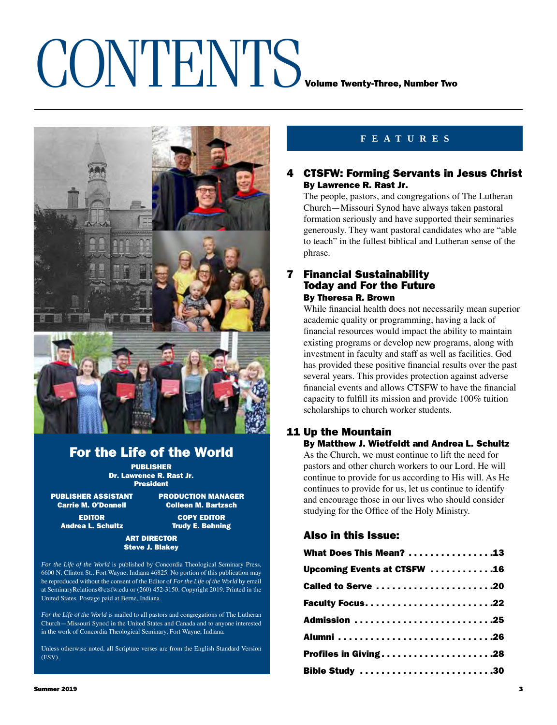# CONTENTS VOLUME TWEEF TWO VOLUME TWO VOLUME TWO



## For the Life of the World

PUBLISHER Dr. Lawrence R. Rast Jr. President

PUBLISHER ASSISTANT PRODUCTION MANAGER<br>Carrie M. O'Donnell Colleen M. Bartzsch

**Colleen M. Bartzsch** EDITOR COPY EDITOR

Andrea L. Schultz **Trudy E. Behning** 

### ART DIRECTOR Steve J. Blakey

*For the Life of the World* is published by Concordia Theological Seminary Press, 6600 N. Clinton St., Fort Wayne, Indiana 46825. No portion of this publication may be reproduced without the consent of the Editor of *For the Life of the World* by email at SeminaryRelations@ctsfw.edu or (260) 452-3150. Copyright 2019. Printed in the United States. Postage paid at Berne, Indiana.

*For the Life of the World* is mailed to all pastors and congregations of The Lutheran Church—Missouri Synod in the United States and Canada and to anyone interested in the work of Concordia Theological Seminary, Fort Wayne, Indiana.

Unless otherwise noted, all Scripture verses are from the English Standard Version (ESV).

## **features**

### 4 CTSFW: Forming Servants in Jesus Christ By Lawrence R. Rast Jr.

The people, pastors, and congregations of The Lutheran Church—Missouri Synod have always taken pastoral formation seriously and have supported their seminaries generously. They want pastoral candidates who are "able to teach" in the fullest biblical and Lutheran sense of the phrase.

### 7 Financial Sustainability Today and For the Future By Theresa R. Brown

While financial health does not necessarily mean superior academic quality or programming, having a lack of financial resources would impact the ability to maintain existing programs or develop new programs, along with investment in faculty and staff as well as facilities. God has provided these positive financial results over the past several years. This provides protection against adverse financial events and allows CTSFW to have the financial capacity to fulfill its mission and provide 100% tuition scholarships to church worker students.

### 11 Up the Mountain By Matthew J. Wietfeldt and Andrea L. Schultz

As the Church, we must continue to lift the need for pastors and other church workers to our Lord. He will continue to provide for us according to His will. As He continues to provide for us, let us continue to identify and encourage those in our lives who should consider studying for the Office of the Holy Ministry.

### Also in this Issue:

| What Does This Mean? 13     |  |
|-----------------------------|--|
| Upcoming Events at CTSFW 16 |  |
| Called to Serve 20          |  |
|                             |  |
| Admission 25                |  |
|                             |  |
| Profiles in Giving28        |  |
| Bible Study 30              |  |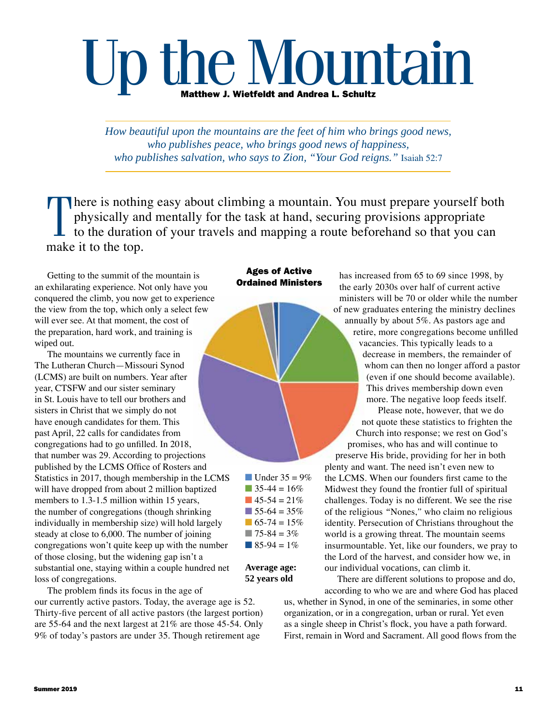# Up the Mountain

*How beautiful upon the mountains are the feet of him who brings good news, who publishes peace, who brings good news of happiness, who publishes salvation, who says to Zion, "Your God reigns."* Isaiah 52:7

 $\prod_{\text{mals}}$ here is nothing easy about climbing a mountain. You must prepare yourself both physically and mentally for the task at hand, securing provisions appropriate to the duration of your travels and mapping a route beforehand so that you can make it to the top.

Getting to the summit of the mountain is an exhilarating experience. Not only have you conquered the climb, you now get to experience the view from the top, which only a select few will ever see. At that moment, the cost of the preparation, hard work, and training is wiped out.

The mountains we currently face in The Lutheran Church—Missouri Synod (LCMS) are built on numbers. Year after year, CTSFW and our sister seminary in St. Louis have to tell our brothers and sisters in Christ that we simply do not have enough candidates for them. This past April, 22 calls for candidates from congregations had to go unfilled. In 2018, that number was 29. According to projections published by the LCMS Office of Rosters and Statistics in 2017, though membership in the LCMS will have dropped from about 2 million baptized members to 1.3-1.5 million within 15 years, the number of congregations (though shrinking individually in membership size) will hold largely steady at close to 6,000. The number of joining congregations won't quite keep up with the number of those closing, but the widening gap isn't a substantial one, staying within a couple hundred net loss of congregations.

The problem finds its focus in the age of our currently active pastors. Today, the average age is 52. Thirty-five percent of all active pastors (the largest portion) are 55-64 and the next largest at 21% are those 45-54. Only 9% of today's pastors are under 35. Though retirement age

### Ages of Active Ordained Ministers

 $\blacksquare$  Under 35 = 9%  $\blacksquare$  35-44 = 16%  $\blacksquare$  45-54 = 21%  $\blacksquare$  55-64 = 35%  $\blacksquare$  65-74 = 15%  $\blacksquare$  75-84 = 3%  $\blacksquare$  85-94 = 1%

### **Average age: 52 years old**

has increased from 65 to 69 since 1998, by the early 2030s over half of current active ministers will be 70 or older while the number of new graduates entering the ministry declines annually by about 5%. As pastors age and retire, more congregations become unfilled vacancies. This typically leads to a decrease in members, the remainder of whom can then no longer afford a pastor (even if one should become available). This drives membership down even more. The negative loop feeds itself.

Please note, however, that we do not quote these statistics to frighten the Church into response; we rest on God's promises, who has and will continue to

preserve His bride, providing for her in both plenty and want. The need isn't even new to the LCMS. When our founders first came to the Midwest they found the frontier full of spiritual challenges. Today is no different. We see the rise of the religious *"*Nones,*ˮ* who claim no religious identity. Persecution of Christians throughout the world is a growing threat. The mountain seems insurmountable. Yet, like our founders, we pray to the Lord of the harvest, and consider how we, in our individual vocations, can climb it.

There are different solutions to propose and do, according to who we are and where God has placed

us, whether in Synod, in one of the seminaries, in some other organization, or in a congregation, urban or rural. Yet even as a single sheep in Christ's flock, you have a path forward. First, remain in Word and Sacrament. All good flows from the